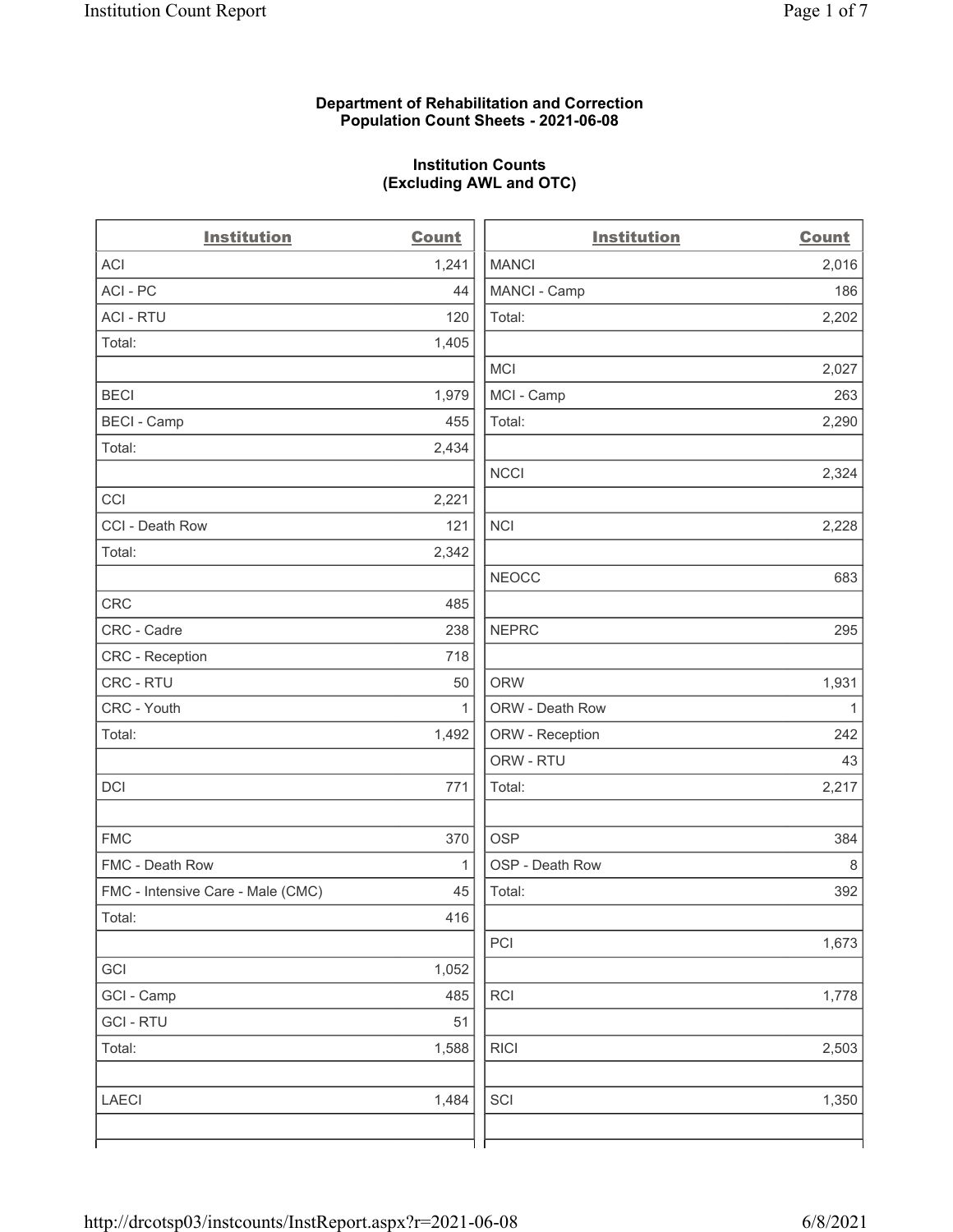# Department of Rehabilitation and Correction Population Count Sheets - 2021-06-08

# Institution Counts (Excluding AWL and OTC)

 $\overline{a}$ 

| <b>Institution</b>                | Count        | <b>Institution</b> | <b>Count</b> |
|-----------------------------------|--------------|--------------------|--------------|
| <b>ACI</b>                        | 1,241        | <b>MANCI</b>       | 2,016        |
| ACI-PC                            | 44           | MANCI - Camp       | 186          |
| <b>ACI - RTU</b>                  | 120          | Total:             | 2,202        |
| Total:                            | 1,405        |                    |              |
|                                   |              | <b>MCI</b>         | 2,027        |
| <b>BECI</b>                       | 1,979        | MCI - Camp         | 263          |
| <b>BECI - Camp</b>                | 455          | Total:             | 2,290        |
| Total:                            | 2,434        |                    |              |
|                                   |              | <b>NCCI</b>        | 2,324        |
| CCI                               | 2,221        |                    |              |
| CCI - Death Row                   | 121          | <b>NCI</b>         | 2,228        |
| Total:                            | 2,342        |                    |              |
|                                   |              | <b>NEOCC</b>       | 683          |
| <b>CRC</b>                        | 485          |                    |              |
| CRC - Cadre                       | 238          | <b>NEPRC</b>       | 295          |
| CRC - Reception                   | 718          |                    |              |
| CRC - RTU                         | 50           | <b>ORW</b>         | 1,931        |
| CRC - Youth                       | $\mathbf{1}$ | ORW - Death Row    | $\mathbf{1}$ |
| Total:                            | 1,492        | ORW - Reception    | 242          |
|                                   |              | ORW - RTU          | 43           |
| DCI                               | 771          | Total:             | 2,217        |
| <b>FMC</b>                        | 370          | <b>OSP</b>         | 384          |
| FMC - Death Row                   | $\mathbf{1}$ | OSP - Death Row    | $\,8\,$      |
| FMC - Intensive Care - Male (CMC) | 45           | Total:             | 392          |
| Total:                            | 416          |                    |              |
|                                   |              | PCI                | 1,673        |
| GCI                               | 1,052        |                    |              |
| GCI - Camp                        | 485          | RCI                | 1,778        |
| <b>GCI-RTU</b>                    | 51           |                    |              |
| Total:                            | 1,588        | <b>RICI</b>        | 2,503        |
| <b>LAECI</b>                      | 1,484        | SCI                | 1,350        |
|                                   |              |                    |              |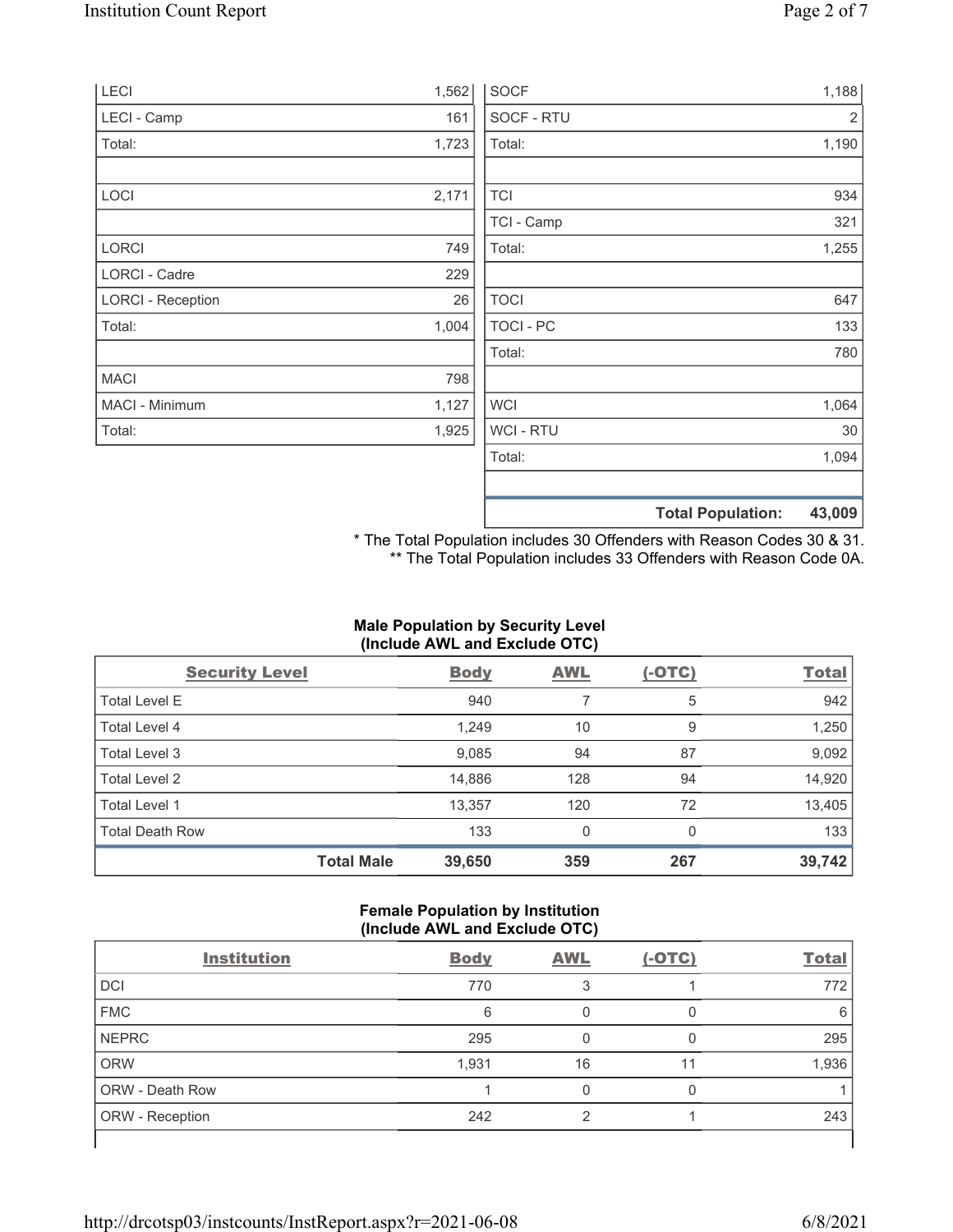|       |                  |                      | 43,009                                           |
|-------|------------------|----------------------|--------------------------------------------------|
|       |                  |                      |                                                  |
|       | Total:           |                      | 1,094                                            |
| 1,925 | <b>WCI-RTU</b>   |                      | 30                                               |
| 1,127 | <b>WCI</b>       |                      | 1,064                                            |
| 798   |                  |                      |                                                  |
|       | Total:           |                      | 780                                              |
| 1,004 | <b>TOCI - PC</b> |                      | 133                                              |
| 26    | <b>TOCI</b>      |                      | 647                                              |
| 229   |                  |                      |                                                  |
| 749   | Total:           |                      | 1,255                                            |
|       | TCI - Camp       |                      | 321                                              |
| 2,171 | <b>TCI</b>       |                      | 934                                              |
|       |                  |                      | 1,190                                            |
|       |                  |                      | 2                                                |
|       |                  |                      | 1,188                                            |
|       | 161<br>1,723     | SOCF - RTU<br>Total: | 1,562<br><b>SOCF</b><br><b>Total Population:</b> |

\* The Total Population includes 30 Offenders with Reason Codes 30 & 31. \*\* The Total Population includes 33 Offenders with Reason Code 0A.

# Male Population by Security Level (Include AWL and Exclude OTC)

| <b>Security Level</b>  |                   | <b>Body</b> | <b>AWL</b> | $(-OTC)$ | <b>Total</b> |
|------------------------|-------------------|-------------|------------|----------|--------------|
| <b>Total Level E</b>   |                   | 940         | 7          | 5        | 942          |
| <b>Total Level 4</b>   |                   | 1,249       | 10         | 9        | 1,250        |
| Total Level 3          |                   | 9,085       | 94         | 87       | 9,092        |
| Total Level 2          |                   | 14,886      | 128        | 94       | 14,920       |
| Total Level 1          |                   | 13,357      | 120        | 72       | 13,405       |
| <b>Total Death Row</b> |                   | 133         | 0          | 0        | 133          |
|                        | <b>Total Male</b> | 39,650      | 359        | 267      | 39,742       |

# Female Population by Institution (Include AWL and Exclude OTC)

| <b>Institution</b>     | <b>Body</b> | <b>AWL</b> | $(-OTC)$ | <b>Total</b> |
|------------------------|-------------|------------|----------|--------------|
| <b>DCI</b>             | 770         | 3          |          | 772          |
| <b>FMC</b>             | 6           |            |          | 6            |
| <b>NEPRC</b>           | 295         |            |          | 295          |
| <b>ORW</b>             | 1,931       | 16         | 11       | 1,936        |
| <b>ORW - Death Row</b> |             |            |          |              |
| ORW - Reception        | 242         | ⌒          |          | 243          |
|                        |             |            |          |              |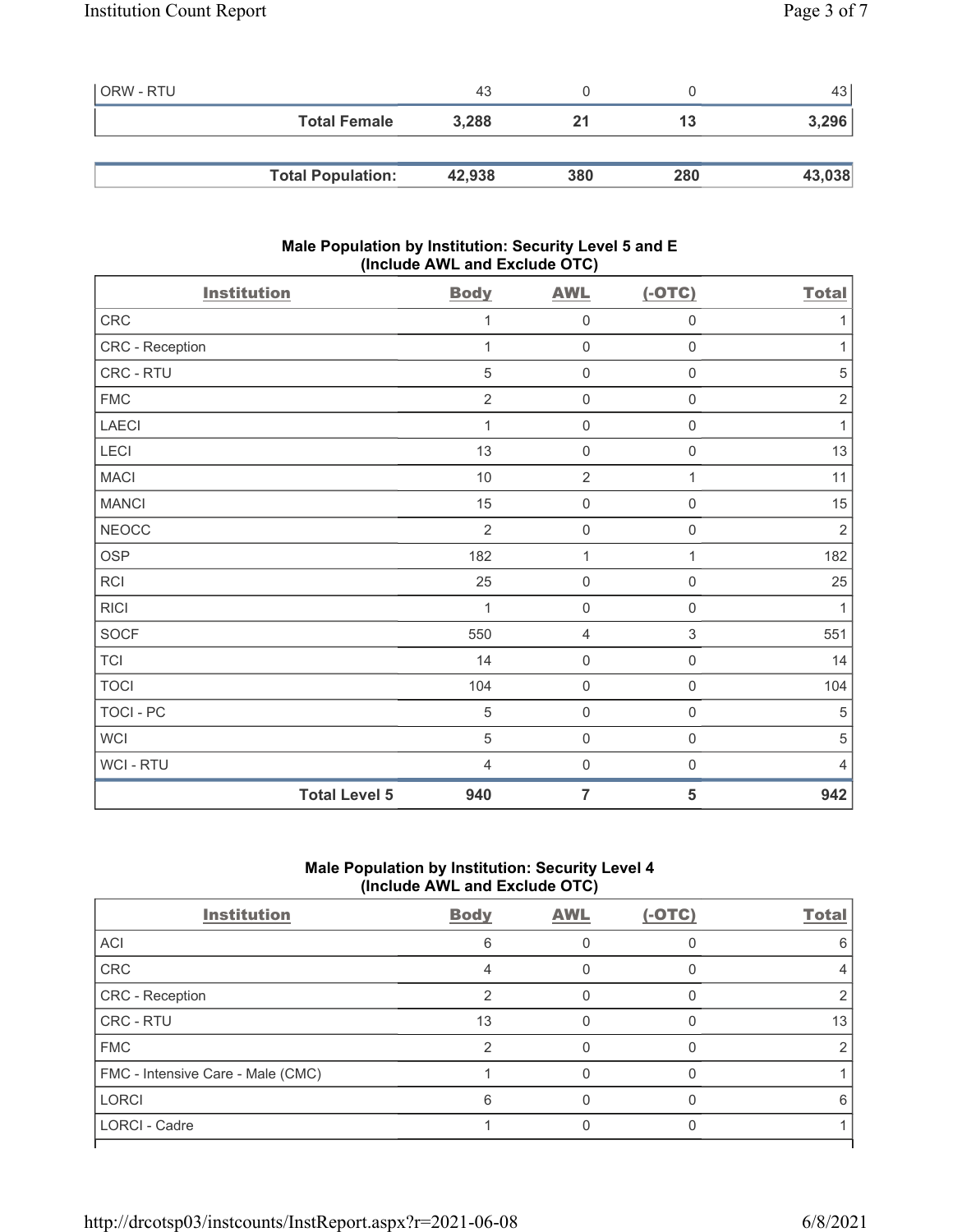| <b>ORW - RTU</b> |                          | 43     |     |     | 43 <sup>1</sup> |
|------------------|--------------------------|--------|-----|-----|-----------------|
|                  | <b>Total Female</b>      | 3,288  |     | 13  | 3,296           |
|                  |                          |        |     |     |                 |
|                  | <b>Total Population:</b> | 42,938 | 380 | 280 | 43,038          |

# Male Population by Institution: Security Level 5 and E (Include AWL and Exclude OTC)

| <b>Institution</b>   | <b>Body</b>    | <b>AWL</b>          | $(-OTC)$                  | <b>Total</b> |
|----------------------|----------------|---------------------|---------------------------|--------------|
| CRC                  | 1              | $\mathbf 0$         | $\mathsf{O}\xspace$       | 1            |
| CRC - Reception      | 1              | $\mathbf 0$         | $\mathsf{O}\xspace$       | $\mathbf 1$  |
| CRC - RTU            | 5              | $\mathsf{O}\xspace$ | $\mathsf{O}\xspace$       | 5            |
| <b>FMC</b>           | $\overline{2}$ | $\mathsf{O}\xspace$ | $\mathsf{O}\xspace$       | $\sqrt{2}$   |
| <b>LAECI</b>         | 1              | $\mathsf{O}\xspace$ | $\mathsf{O}\xspace$       | 1            |
| LECI                 | 13             | $\mathsf{O}\xspace$ | $\mathsf{O}\xspace$       | 13           |
| <b>MACI</b>          | 10             | $\overline{2}$      | 1                         | 11           |
| <b>MANCI</b>         | 15             | $\mathbf 0$         | $\mathsf{O}\xspace$       | 15           |
| <b>NEOCC</b>         | $\overline{2}$ | $\mathsf{O}\xspace$ | $\mathsf{O}\xspace$       | $\sqrt{2}$   |
| OSP                  | 182            | 1                   | 1                         | 182          |
| RCI                  | 25             | $\mathsf{O}\xspace$ | $\mathbf 0$               | 25           |
| <b>RICI</b>          | 1              | $\mathsf{O}\xspace$ | $\mathsf{O}\xspace$       | 1            |
| <b>SOCF</b>          | 550            | 4                   | $\ensuremath{\mathsf{3}}$ | 551          |
| <b>TCI</b>           | 14             | $\mathsf{O}\xspace$ | $\mathsf{O}\xspace$       | 14           |
| <b>TOCI</b>          | 104            | $\mathbf 0$         | $\mathsf 0$               | 104          |
| TOCI - PC            | 5              | $\mathbf 0$         | $\mathsf{O}\xspace$       | 5            |
| <b>WCI</b>           | 5              | $\mathbf 0$         | $\mathsf{O}\xspace$       | 5            |
| WCI - RTU            | $\overline{4}$ | $\mathsf{O}\xspace$ | $\boldsymbol{0}$          | 4            |
| <b>Total Level 5</b> | 940            | $\overline{7}$      | 5                         | 942          |

# Male Population by Institution: Security Level 4 (Include AWL and Exclude OTC)

| <b>Institution</b>                | <b>Body</b> | <b>AWL</b> | $(-OTC)$ | <b>Total</b> |
|-----------------------------------|-------------|------------|----------|--------------|
| ACI                               | 6           |            |          | ิค           |
| CRC                               |             |            |          |              |
| CRC - Reception                   | ◠           |            |          |              |
| CRC - RTU                         | 13          |            |          | 13           |
| <b>FMC</b>                        | っ           |            |          |              |
| FMC - Intensive Care - Male (CMC) |             |            |          |              |
| <b>LORCI</b>                      | 6           |            |          |              |
| <b>LORCI - Cadre</b>              |             |            |          |              |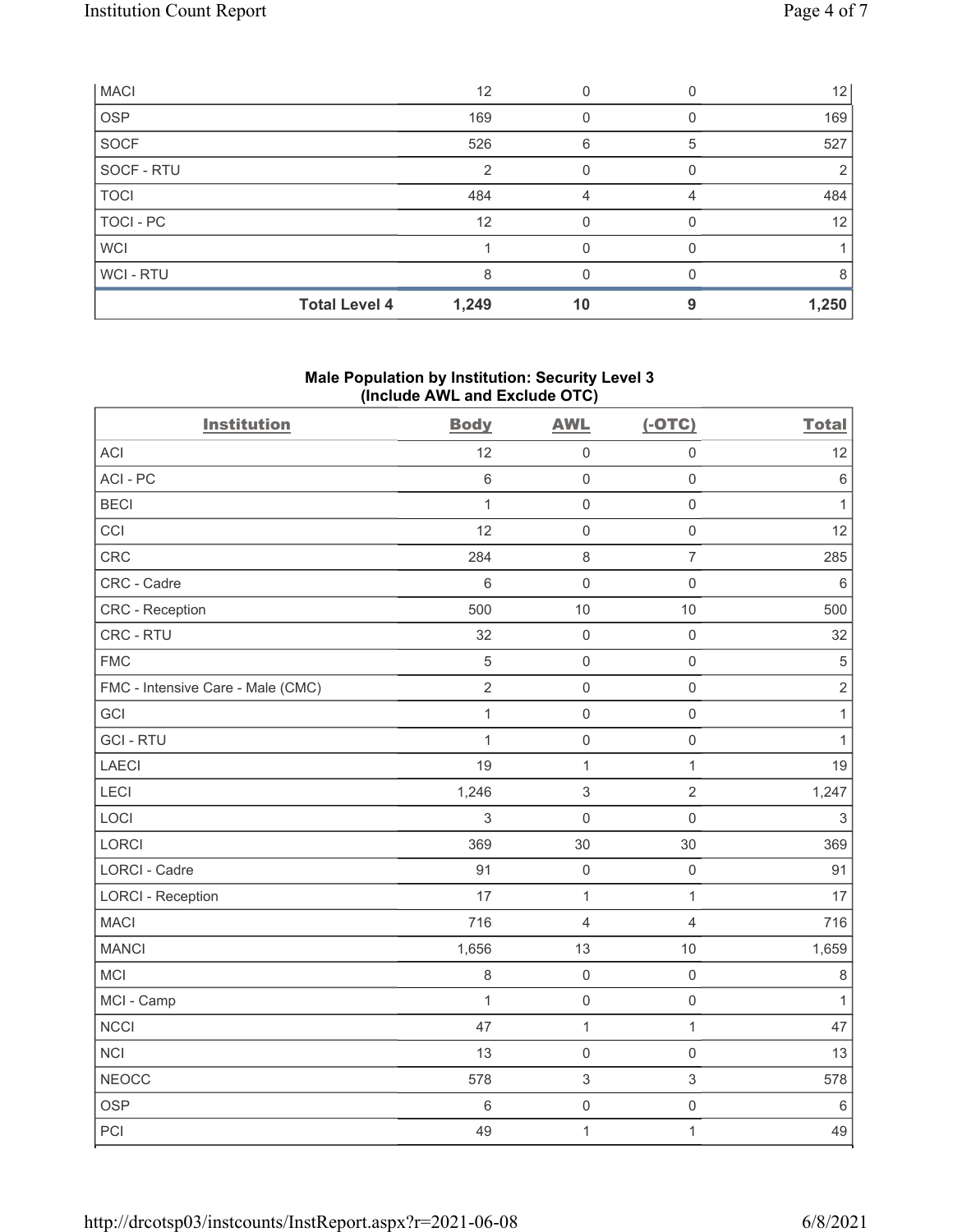|             | <b>Total Level 4</b> | 1,249 | 10 |   | 1,250             |
|-------------|----------------------|-------|----|---|-------------------|
| WCI - RTU   |                      | 8     | U  |   |                   |
| <b>WCI</b>  |                      |       |    |   |                   |
| TOCI - PC   |                      | 12    | O  |   | $12 \overline{ }$ |
| <b>TOCI</b> |                      | 484   |    |   | 484               |
| SOCF - RTU  |                      | 2     |    |   |                   |
| <b>SOCF</b> |                      | 526   | 6  | 5 | 527               |
| <b>OSP</b>  |                      | 169   |    |   | 169               |
| <b>MACI</b> |                      | 12    |    |   | 12                |

# Male Population by Institution: Security Level 3 (Include AWL and Exclude OTC)

| <b>Institution</b>                | <b>Body</b>    | <b>AWL</b>          | $(-OTC)$            | <b>Total</b> |
|-----------------------------------|----------------|---------------------|---------------------|--------------|
| <b>ACI</b>                        | 12             | $\mathsf{O}\xspace$ | $\mathsf 0$         | 12           |
| ACI-PC                            | 6              | $\mathbf 0$         | $\mathbf 0$         | $\,6\,$      |
| <b>BECI</b>                       | $\mathbf{1}$   | $\mathsf 0$         | $\mathsf{O}\xspace$ | $\mathbf{1}$ |
| CCI                               | 12             | $\mathsf 0$         | $\mathsf{O}\xspace$ | 12           |
| CRC                               | 284            | 8                   | $\overline{7}$      | 285          |
| CRC - Cadre                       | 6              | $\mathsf{O}\xspace$ | $\mathsf{O}\xspace$ | $\,6\,$      |
| <b>CRC</b> - Reception            | 500            | $10$                | $10$                | 500          |
| CRC - RTU                         | 32             | $\mathsf 0$         | $\mathsf{O}\xspace$ | 32           |
| <b>FMC</b>                        | 5              | $\mathsf{O}\xspace$ | $\mathsf{O}\xspace$ | $\,$ 5 $\,$  |
| FMC - Intensive Care - Male (CMC) | $\overline{2}$ | $\mathsf 0$         | $\mathsf{O}\xspace$ | $\sqrt{2}$   |
| GCI                               | $\mathbf{1}$   | $\mathsf 0$         | $\mathsf{O}\xspace$ | $\mathbf{1}$ |
| <b>GCI-RTU</b>                    | $\mathbf{1}$   | $\mathsf{O}\xspace$ | $\mathsf{O}\xspace$ | $\mathbf{1}$ |
| <b>LAECI</b>                      | 19             | $\mathbf{1}$        | $\mathbf{1}$        | 19           |
| LECI                              | 1,246          | $\sqrt{3}$          | $\overline{2}$      | 1,247        |
| LOCI                              | 3              | $\mathsf{O}\xspace$ | $\mathsf{O}\xspace$ | $\sqrt{3}$   |
| <b>LORCI</b>                      | 369            | 30                  | 30                  | 369          |
| LORCI - Cadre                     | 91             | $\mathsf 0$         | $\mathsf{O}\xspace$ | 91           |
| <b>LORCI - Reception</b>          | 17             | $\mathbf{1}$        | $\mathbf{1}$        | 17           |
| <b>MACI</b>                       | 716            | $\overline{4}$      | $\overline{4}$      | 716          |
| <b>MANCI</b>                      | 1,656          | 13                  | 10                  | 1,659        |
| MCI                               | $\,8\,$        | $\mathsf{O}\xspace$ | $\mathsf{O}\xspace$ | $\,8\,$      |
| MCI - Camp                        | $\mathbf{1}$   | $\mathsf 0$         | $\mathsf{O}\xspace$ | $\mathbf{1}$ |
| <b>NCCI</b>                       | 47             | $\mathbf{1}$        | $\mathbf{1}$        | 47           |
| <b>NCI</b>                        | 13             | $\mathsf{O}\xspace$ | $\mathsf 0$         | 13           |
| <b>NEOCC</b>                      | 578            | $\sqrt{3}$          | $\mathfrak{S}$      | 578          |
| <b>OSP</b>                        | 6              | $\mathsf{O}\xspace$ | $\mathsf{O}\xspace$ | $\,6\,$      |
| PCI                               | 49             | $\mathbf{1}$        | $\mathbf{1}$        | 49           |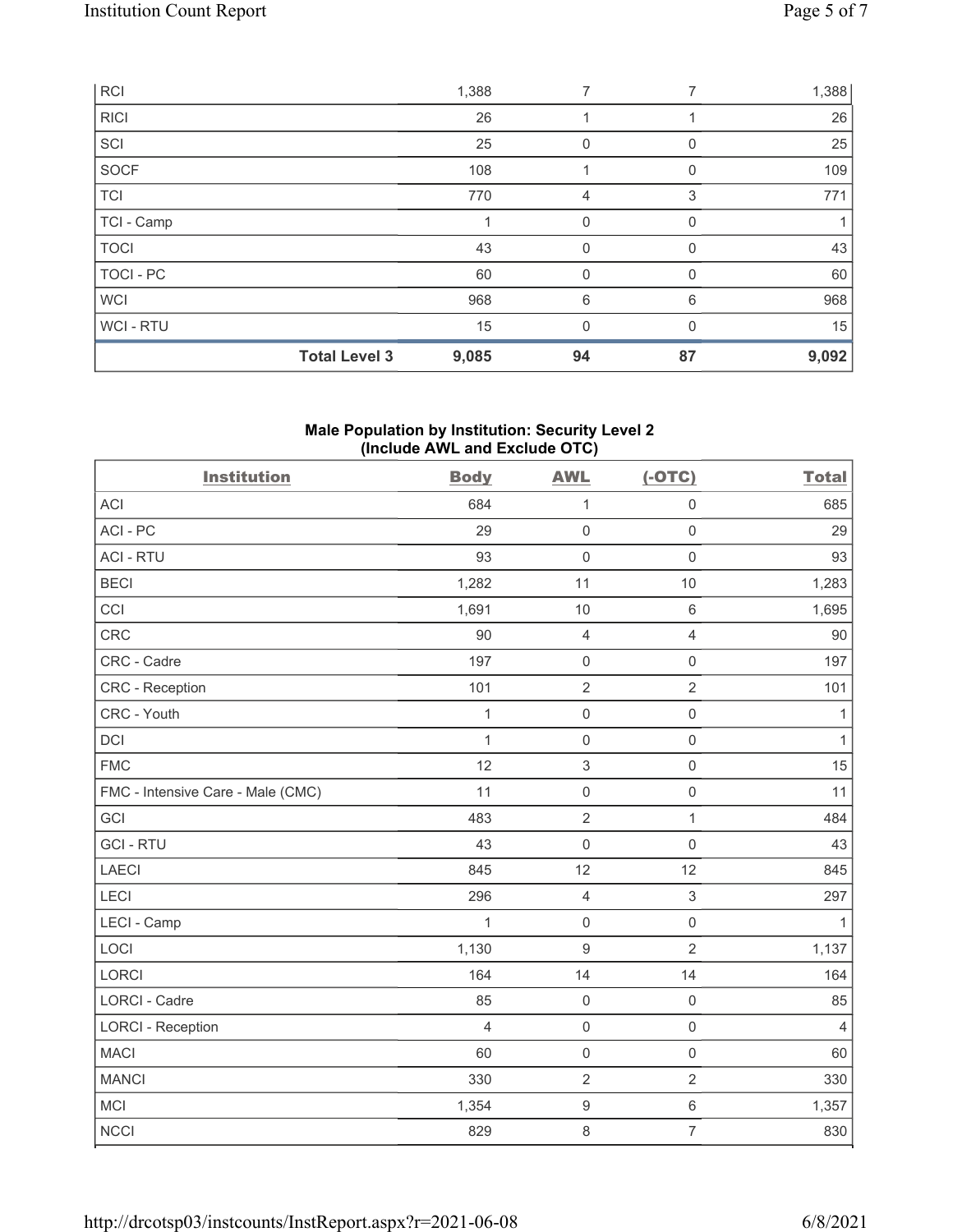|             | <b>Total Level 3</b> | 9,085 | 94          | 87       | 9,092 |
|-------------|----------------------|-------|-------------|----------|-------|
| WCI - RTU   |                      | 15    | 0           |          | 15    |
| <b>WCI</b>  |                      | 968   | 6           | 6        | 968   |
| TOCI - PC   |                      | 60    | 0           |          | 60    |
| <b>TOCI</b> |                      | 43    | 0           | $\Omega$ | 43    |
| TCI - Camp  |                      |       | $\mathbf 0$ | 0        |       |
| <b>TCI</b>  |                      | 770   | 4           | 3        | 771   |
| SOCF        |                      | 108   |             | $\Omega$ | 109   |
| SCI         |                      | 25    | 0           |          | 25    |
| <b>RICI</b> |                      | 26    |             |          | 26    |
| <b>RCI</b>  |                      | 1,388 | 7           |          | 1,388 |

# Male Population by Institution: Security Level 2 (Include AWL and Exclude OTC)

| <b>Institution</b>                | <b>Body</b>    | <b>AWL</b>                | $(-OTC)$            | <b>Total</b>   |
|-----------------------------------|----------------|---------------------------|---------------------|----------------|
| <b>ACI</b>                        | 684            | $\mathbf{1}$              | $\mathsf{O}\xspace$ | 685            |
| ACI-PC                            | 29             | $\mathbf 0$               | $\mathbf 0$         | 29             |
| <b>ACI - RTU</b>                  | 93             | $\mathbf 0$               | $\mathbf 0$         | 93             |
| <b>BECI</b>                       | 1,282          | 11                        | 10                  | 1,283          |
| CCI                               | 1,691          | 10                        | $\,6\,$             | 1,695          |
| <b>CRC</b>                        | 90             | $\overline{4}$            | $\overline{4}$      | 90             |
| CRC - Cadre                       | 197            | $\mathsf{O}\xspace$       | $\mathsf 0$         | 197            |
| CRC - Reception                   | 101            | $\sqrt{2}$                | $\overline{2}$      | 101            |
| CRC - Youth                       | $\mathbf{1}$   | $\mathsf{O}\xspace$       | $\mathsf{O}\xspace$ | $\mathbf{1}$   |
| <b>DCI</b>                        | $\mathbf{1}$   | $\mathsf{O}\xspace$       | $\mathsf{O}\xspace$ | $\mathbf{1}$   |
| <b>FMC</b>                        | 12             | $\ensuremath{\mathsf{3}}$ | $\mathsf{O}\xspace$ | 15             |
| FMC - Intensive Care - Male (CMC) | 11             | $\mathbf 0$               | $\mathsf{O}\xspace$ | 11             |
| GCI                               | 483            | $\sqrt{2}$                | $\mathbf{1}$        | 484            |
| <b>GCI-RTU</b>                    | 43             | $\mathbf 0$               | $\mathbf 0$         | 43             |
| <b>LAECI</b>                      | 845            | 12                        | 12                  | 845            |
| LECI                              | 296            | $\overline{4}$            | $\,$ 3 $\,$         | 297            |
| LECI - Camp                       | $\mathbf{1}$   | $\mathbf 0$               | $\mathsf{O}\xspace$ | $\mathbf{1}$   |
| LOCI                              | 1,130          | $\boldsymbol{9}$          | $\overline{2}$      | 1,137          |
| <b>LORCI</b>                      | 164            | 14                        | 14                  | 164            |
| <b>LORCI - Cadre</b>              | 85             | $\mathsf{O}\xspace$       | $\mathsf{O}\xspace$ | 85             |
| <b>LORCI - Reception</b>          | $\overline{4}$ | $\mathbf 0$               | $\mathbf 0$         | $\overline{4}$ |
| <b>MACI</b>                       | 60             | $\mathbf 0$               | $\mathsf{O}\xspace$ | 60             |
| <b>MANCI</b>                      | 330            | $\overline{2}$            | $\overline{2}$      | 330            |
| <b>MCI</b>                        | 1,354          | $\boldsymbol{9}$          | $\,6\,$             | 1,357          |
| <b>NCCI</b>                       | 829            | $\,8\,$                   | $\overline{7}$      | 830            |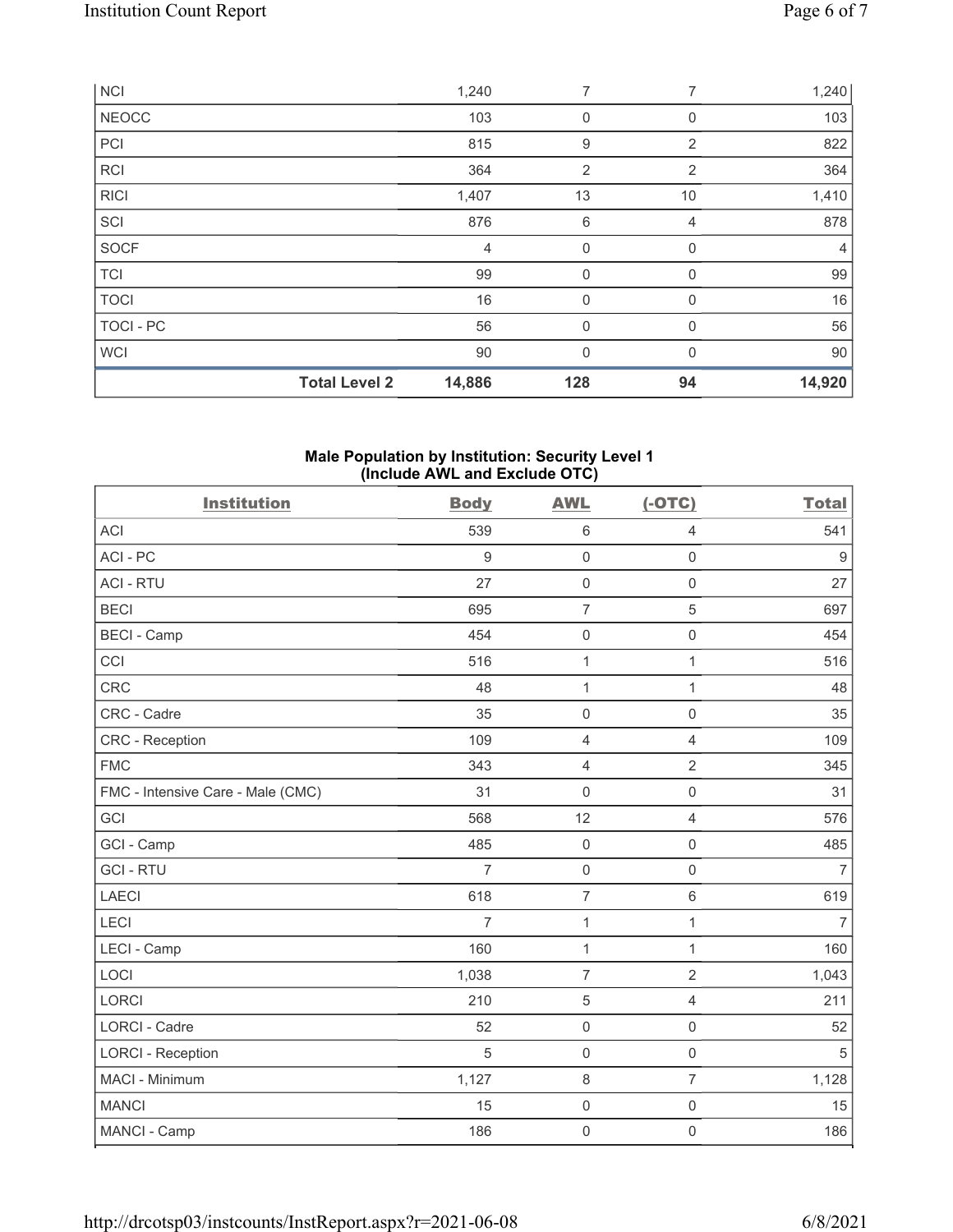|              | <b>Total Level 2</b> | 14,886         | 128            | 94          | 14,920         |
|--------------|----------------------|----------------|----------------|-------------|----------------|
| <b>WCI</b>   |                      | 90             | $\mathbf{0}$   | $\Omega$    | 90             |
| TOCI - PC    |                      | 56             | $\mathbf 0$    | 0           | 56             |
| <b>TOCI</b>  |                      | 16             | 0              | 0           | 16             |
| <b>TCI</b>   |                      | 99             | 0              | $\mathbf 0$ | 99             |
| <b>SOCF</b>  |                      | $\overline{4}$ | 0              | $\Omega$    | $\overline{4}$ |
| SCI          |                      | 876            | 6              | 4           | 878            |
| <b>RICI</b>  |                      | 1,407          | 13             | 10          | 1,410          |
| <b>RCI</b>   |                      | 364            | $\overline{2}$ | 2           | 364            |
| PCI          |                      | 815            | 9              | 2           | 822            |
| <b>NEOCC</b> |                      | 103            | 0              | 0           | 103            |
| <b>NCI</b>   |                      | 1,240          | 7              | 7           | 1,240          |

#### Male Population by Institution: Security Level 1 (Include AWL and Exclude OTC)

| <b>Institution</b>                | <b>Body</b>    | <b>AWL</b>          | $(-OTC)$            | <b>Total</b>   |
|-----------------------------------|----------------|---------------------|---------------------|----------------|
| ACI                               | 539            | $\,6\,$             | 4                   | 541            |
| ACI-PC                            | $9\,$          | $\mathsf{O}\xspace$ | $\mathsf{O}\xspace$ | $9$            |
| <b>ACI - RTU</b>                  | 27             | $\mathsf{O}\xspace$ | $\mathsf 0$         | 27             |
| <b>BECI</b>                       | 695            | $\overline{7}$      | 5                   | 697            |
| <b>BECI - Camp</b>                | 454            | $\mathbf 0$         | $\mathsf{O}\xspace$ | 454            |
| CCI                               | 516            | $\mathbf{1}$        | $\mathbf{1}$        | 516            |
| <b>CRC</b>                        | 48             | $\mathbf{1}$        | $\mathbf{1}$        | 48             |
| CRC - Cadre                       | 35             | $\mathbf 0$         | $\mathbf 0$         | 35             |
| <b>CRC</b> - Reception            | 109            | $\overline{4}$      | $\overline{4}$      | 109            |
| <b>FMC</b>                        | 343            | $\overline{4}$      | $\sqrt{2}$          | 345            |
| FMC - Intensive Care - Male (CMC) | 31             | $\mathbf 0$         | $\mathsf{O}\xspace$ | 31             |
| GCI                               | 568            | 12                  | $\overline{4}$      | 576            |
| GCI - Camp                        | 485            | $\mathbf 0$         | $\mathsf 0$         | 485            |
| <b>GCI-RTU</b>                    | $\overline{7}$ | $\mathsf{O}\xspace$ | $\mathsf{O}\xspace$ | $\overline{7}$ |
| <b>LAECI</b>                      | 618            | $\overline{7}$      | $\,6\,$             | 619            |
| LECI                              | $\overline{7}$ | $\mathbf{1}$        | $\mathbf{1}$        | $\overline{7}$ |
| LECI - Camp                       | 160            | $\mathbf{1}$        | $\mathbf{1}$        | 160            |
| LOCI                              | 1,038          | $\overline{7}$      | $\overline{2}$      | 1,043          |
| <b>LORCI</b>                      | 210            | $\sqrt{5}$          | $\overline{4}$      | 211            |
| <b>LORCI - Cadre</b>              | 52             | $\mathbf 0$         | $\mathsf 0$         | 52             |
| <b>LORCI - Reception</b>          | 5              | $\mathbf 0$         | $\mathsf 0$         | 5              |
| MACI - Minimum                    | 1,127          | $\,8\,$             | $\overline{7}$      | 1,128          |
| <b>MANCI</b>                      | 15             | $\mathsf{O}\xspace$ | $\mathsf 0$         | 15             |
| MANCI - Camp                      | 186            | $\mathbf 0$         | $\mathsf 0$         | 186            |